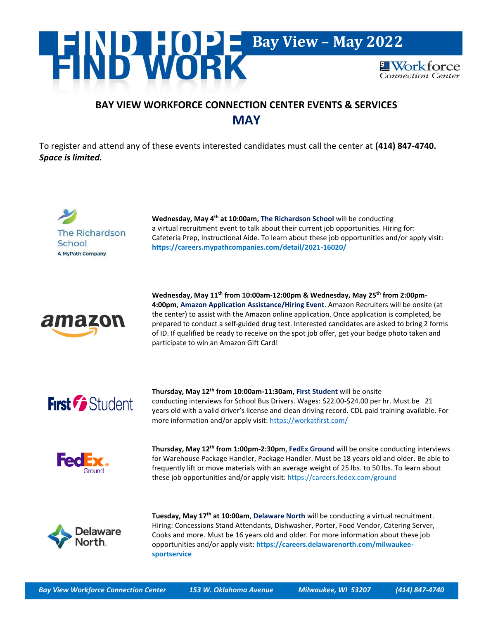

## **BAY VIEW WORKFORCE CONNECTION CENTER EVENTS & SERVICES MAY**

To register and attend any of these events interested candidates must call the center at **(414) 847-4740.** *Space is limited.*



**Wednesday, May 4th at 10:00am, The Richardson School** will be conducting a virtual recruitment event to talk about their current job opportunities. Hiring for: Cafeteria Prep, Instructional Aide. To learn about these job opportunities and/or apply visit: **<https://careers.mypathcompanies.com/detail/2021-16020/>**



**Wednesday, May 11th from 10:00am-12:00pm & Wednesday, May 25th from 2:00pm-4:00pm**, **Amazon Application Assistance/Hiring Event**. Amazon Recruiters will be onsite (at the center) to assist with the Amazon online application. Once application is completed, be prepared to conduct a self-guided drug test. Interested candidates are asked to bring 2 forms of ID. If qualified be ready to receive on the spot job offer, get your badge photo taken and participate to win an Amazon Gift Card!



**Thursday, May 12th from 10:00am-11:30am, First Student** will be onsite conducting interviews for School Bus Drivers. Wages: \$22.00-\$24.00 per hr. Must be 21 years old with a valid driver's license and clean driving record. CDL paid training available. For more information and/or apply visit:<https://workatfirst.com/>



**Thursday, May 12th from 1:00pm-2:30pm**, **FedEx Ground** will be onsite conducting interviews for Warehouse Package Handler, Package Handler. Must be 18 years old and older. Be able to frequently lift or move materials with an average weight of 25 lbs. to 50 lbs. To learn about these job opportunities and/or apply visit: <https://careers.fedex.com/ground>



**Tuesday, May 17th at 10:00am**, **Delaware North** will be conducting a virtual recruitment. Hiring: Concessions Stand Attendants, Dishwasher, Porter, Food Vendor, Catering Server, Cooks and more. Must be 16 years old and older. For more information about these job opportunities and/or apply visit: **[https://careers.delawarenorth.com/milwaukee](https://careers.delawarenorth.com/milwaukee-sportservice)[sportservice](https://careers.delawarenorth.com/milwaukee-sportservice)**